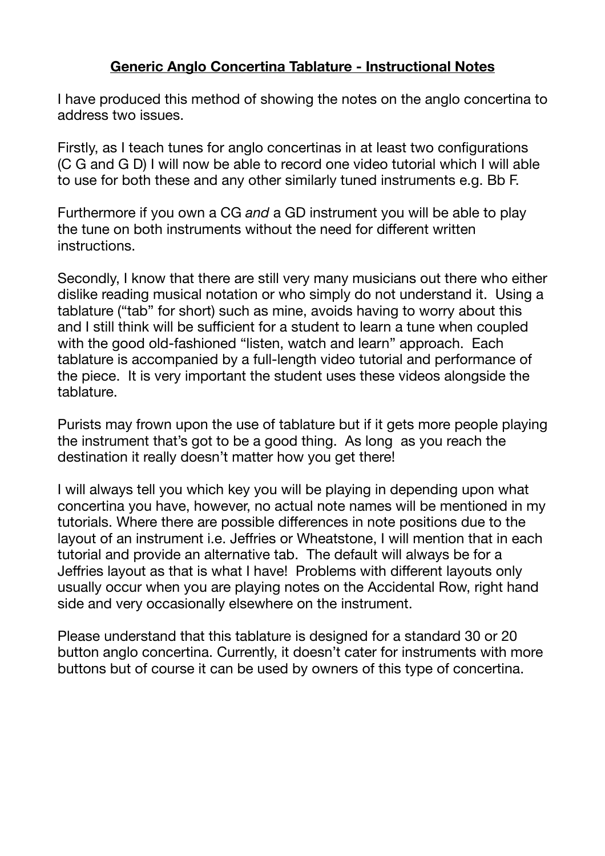## **Generic Anglo Concertina Tablature - Instructional Notes**

I have produced this method of showing the notes on the anglo concertina to address two issues.

Firstly, as I teach tunes for anglo concertinas in at least two configurations (C G and G D) I will now be able to record one video tutorial which I will able to use for both these and any other similarly tuned instruments e.g. Bb F.

Furthermore if you own a CG *and* a GD instrument you will be able to play the tune on both instruments without the need for different written instructions.

Secondly, I know that there are still very many musicians out there who either dislike reading musical notation or who simply do not understand it. Using a tablature ("tab" for short) such as mine, avoids having to worry about this and I still think will be sufficient for a student to learn a tune when coupled with the good old-fashioned "listen, watch and learn" approach. Each tablature is accompanied by a full-length video tutorial and performance of the piece. It is very important the student uses these videos alongside the tablature.

Purists may frown upon the use of tablature but if it gets more people playing the instrument that's got to be a good thing. As long as you reach the destination it really doesn't matter how you get there!

I will always tell you which key you will be playing in depending upon what concertina you have, however, no actual note names will be mentioned in my tutorials. Where there are possible differences in note positions due to the layout of an instrument i.e. Jeffries or Wheatstone, I will mention that in each tutorial and provide an alternative tab. The default will always be for a Jeffries layout as that is what I have! Problems with different layouts only usually occur when you are playing notes on the Accidental Row, right hand side and very occasionally elsewhere on the instrument.

Please understand that this tablature is designed for a standard 30 or 20 button anglo concertina. Currently, it doesn't cater for instruments with more buttons but of course it can be used by owners of this type of concertina.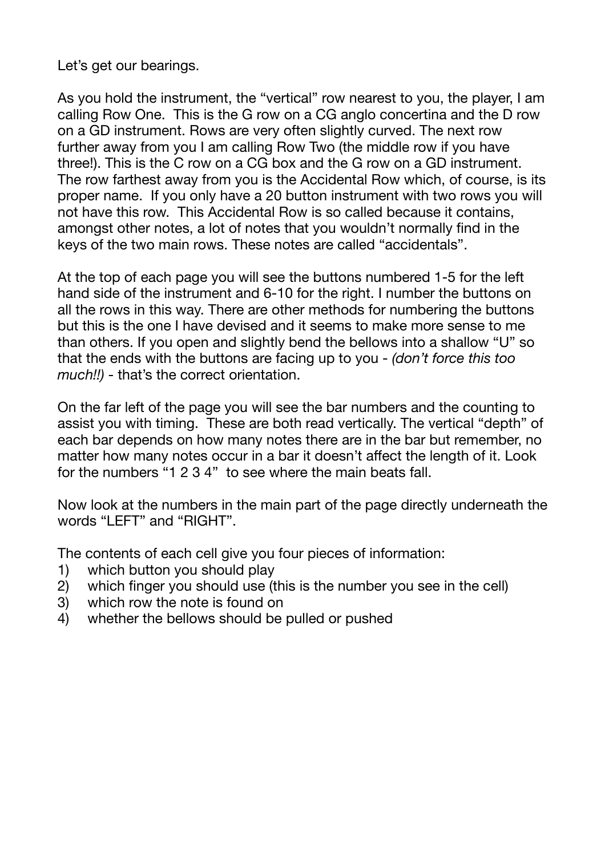Let's get our bearings.

As you hold the instrument, the "vertical" row nearest to you, the player, I am calling Row One. This is the G row on a CG anglo concertina and the D row on a GD instrument. Rows are very often slightly curved. The next row further away from you I am calling Row Two (the middle row if you have three!). This is the C row on a CG box and the G row on a GD instrument. The row farthest away from you is the Accidental Row which, of course, is its proper name. If you only have a 20 button instrument with two rows you will not have this row. This Accidental Row is so called because it contains, amongst other notes, a lot of notes that you wouldn't normally find in the keys of the two main rows. These notes are called "accidentals".

At the top of each page you will see the buttons numbered 1-5 for the left hand side of the instrument and 6-10 for the right. I number the buttons on all the rows in this way. There are other methods for numbering the buttons but this is the one I have devised and it seems to make more sense to me than others. If you open and slightly bend the bellows into a shallow "U" so that the ends with the buttons are facing up to you - *(don't force this too much!!)* - that's the correct orientation.

On the far left of the page you will see the bar numbers and the counting to assist you with timing. These are both read vertically. The vertical "depth" of each bar depends on how many notes there are in the bar but remember, no matter how many notes occur in a bar it doesn't affect the length of it. Look for the numbers "1 2 3 4" to see where the main beats fall.

Now look at the numbers in the main part of the page directly underneath the words "LEFT" and "RIGHT".

The contents of each cell give you four pieces of information:

- 1) which button you should play
- 2) which finger you should use (this is the number you see in the cell)
- 3) which row the note is found on
- 4) whether the bellows should be pulled or pushed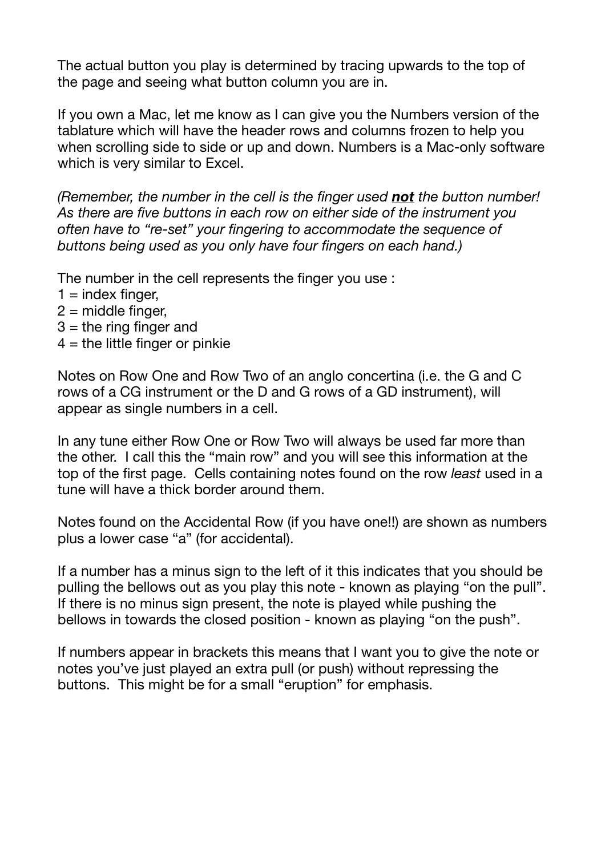The actual button you play is determined by tracing upwards to the top of the page and seeing what button column you are in.

If you own a Mac, let me know as I can give you the Numbers version of the tablature which will have the header rows and columns frozen to help you when scrolling side to side or up and down. Numbers is a Mac-only software which is very similar to Excel.

*(Remember, the number in the cell is the finger used not the button number! As there are five buttons in each row on either side of the instrument you often have to "re-set" your fingering to accommodate the sequence of buttons being used as you only have four fingers on each hand.)*

The number in the cell represents the finger you use :

- $1 =$  index finger,
- $2$  = middle finger,
- $3$  = the ring finger and
- $4 =$  the little finger or pinkie

Notes on Row One and Row Two of an anglo concertina (i.e. the G and C rows of a CG instrument or the D and G rows of a GD instrument), will appear as single numbers in a cell.

In any tune either Row One or Row Two will always be used far more than the other. I call this the "main row" and you will see this information at the top of the first page. Cells containing notes found on the row *least* used in a tune will have a thick border around them.

Notes found on the Accidental Row (if you have one!!) are shown as numbers plus a lower case "a" (for accidental).

If a number has a minus sign to the left of it this indicates that you should be pulling the bellows out as you play this note - known as playing "on the pull". If there is no minus sign present, the note is played while pushing the bellows in towards the closed position - known as playing "on the push".

If numbers appear in brackets this means that I want you to give the note or notes you've just played an extra pull (or push) without repressing the buttons. This might be for a small "eruption" for emphasis.